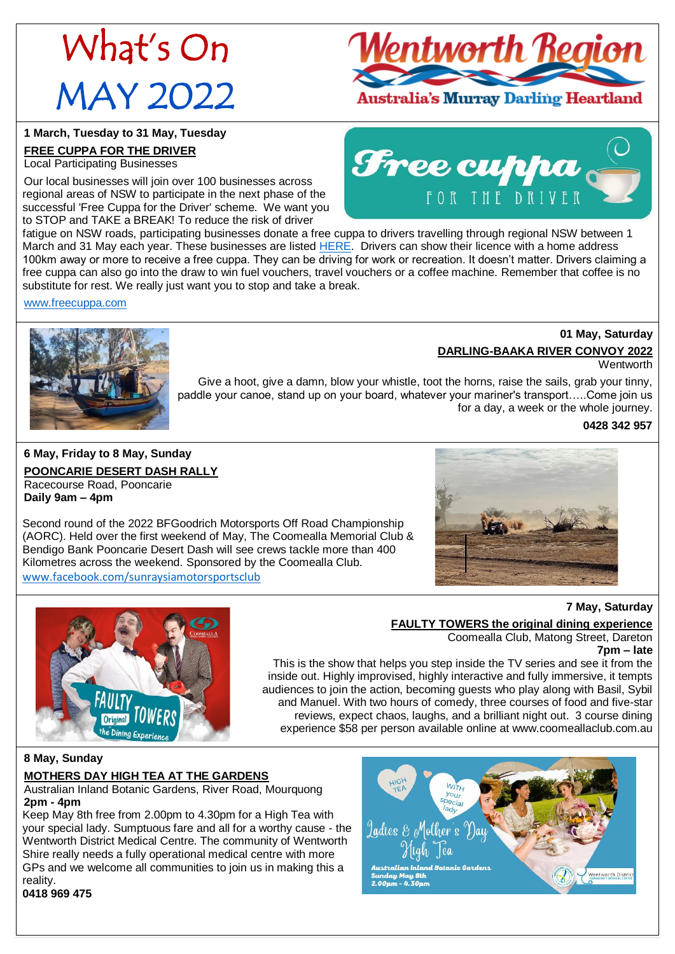# What's On MAY 2022

<u>Ventworth Region</u>

FOR THE DRIVER

# Australia's Murray Darling Heartland

Free cuppa

### **1 March, Tuesday to 31 May, Tuesday**

# **FREE CUPPA FOR THE DRIVER**

Local Participating Businesses

Our local businesses will join over 100 businesses across regional areas of NSW to participate in the next phase of the successful 'Free Cuppa for the Driver' scheme. We want you to STOP and TAKE a BREAK! To reduce the risk of driver

fatigue on NSW roads, participating businesses donate a free cuppa to drivers travelling through regional NSW between 1 March and 31 May each year. These businesses are listed [HERE.](https://www.freecuppa.com.au/find-a-free-cuppa.html) Drivers can show their licence with a home address 100km away or more to receive a free cuppa. They can be driving for work or recreation. It doesn't matter. Drivers claiming a free cuppa can also go into the draw to win fuel vouchers, travel vouchers or a coffee machine. Remember that coffee is no substitute for rest. We really just want you to stop and take a break.

[www.freecuppa.com](http://www.freecuppa.com/)



# **01 May, Saturday DARLING-BAAKA RIVER CONVOY 2022**

**Wentworth** 

Give a hoot, give a damn, blow your whistle, toot the horns, raise the sails, grab your tinny, paddle your canoe, stand up on your board, whatever your mariner's transport…..Come join us for a day, a week or the whole journey.

### **0428 342 957**

**7 May, Saturday**

**6 May, Friday to 8 May, Sunday POONCARIE DESERT DASH RALLY**

Racecourse Road, Pooncarie **Daily 9am – 4pm**

Second round of the 2022 BFGoodrich Motorsports Off Road Championship (AORC). Held over the first weekend of May, The Coomealla Memorial Club & Bendigo Bank Pooncarie Desert Dash will see crews tackle more than 400 Kilometres across the weekend. Sponsored by the Coomealla Club. [www.facebook.com/sunraysiamotorsportsclub](http://www.facebook.com/sunraysiamotorsportsclub)





# **FAULTY TOWERS the original dining experience**

Coomealla Club, Matong Street, Dareton **7pm – late**

This is the show that helps you step inside the TV series and see it from the inside out. Highly improvised, highly interactive and fully immersive, it tempts audiences to join the action, becoming guests who play along with Basil, Sybil and Manuel. With two hours of comedy, three courses of food and five-star reviews, expect chaos, laughs, and a brilliant night out. 3 course dining experience \$58 per person available online at www.coomeallaclub.com.au

**8 May, Sunday MOTHERS DAY HIGH TEA AT THE GARDENS**

Australian Inland Botanic Gardens, River Road, Mourquong **2pm - 4pm**

Keep May 8th free from 2.00pm to 4.30pm for a High Tea with your special lady. Sumptuous fare and all for a worthy cause - the Wentworth District Medical Centre. The community of Wentworth Shire really needs a fully operational medical centre with more GPs and we welcome all communities to join us in making this a reality.



**0418 969 475**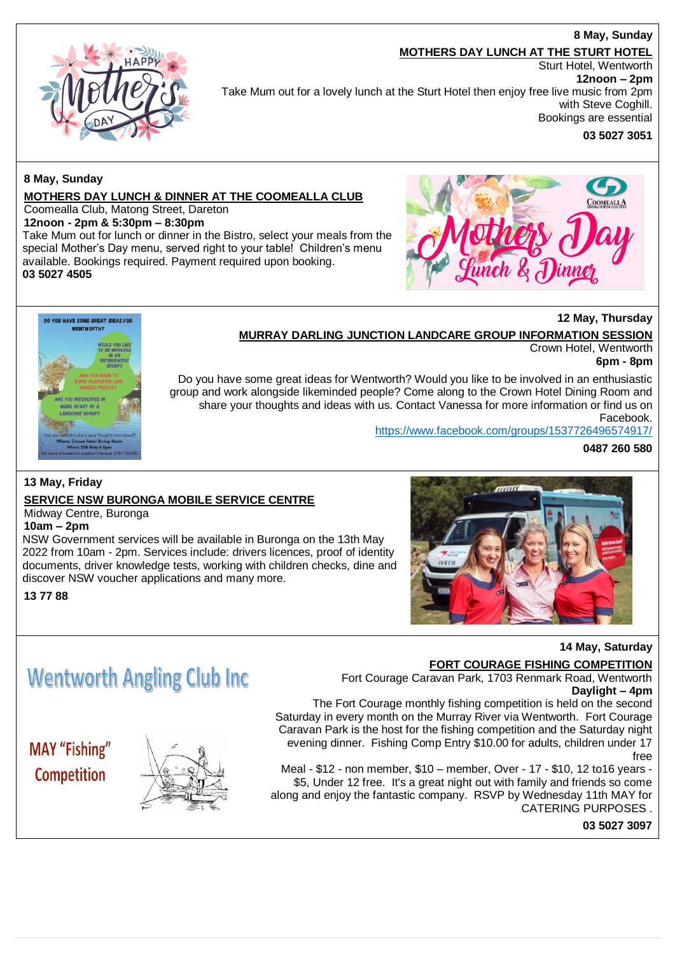### **8 May, Sunday**

#### **MOTHERS DAY LUNCH AT THE STURT HOTEL**

Sturt Hotel, Wentworth

Take Mum out for a lovely lunch at the Sturt Hotel then enjoy free live music from 2pm

# **12noon – 2pm**

with Steve Coghill. Bookings are essential

**03 5027 3051**

# **8 May, Sunday**

### **MOTHERS DAY LUNCH & DINNER AT THE COOMEALLA CLUB**

Coomealla Club, Matong Street, Dareton

**12noon - 2pm & 5:30pm – 8:30pm**

Take Mum out for lunch or dinner in the Bistro, select your meals from the special Mother's Day menu, served right to your table! Children's menu available. Bookings required. Payment required upon booking. **03 5027 4505**



## **12 May, Thursday**

### **MURRAY DARLING JUNCTION LANDCARE GROUP INFORMATION SESSION**

Crown Hotel, Wentworth

**6pm - 8pm**

Do you have some great ideas for Wentworth? Would you like to be involved in an enthusiastic group and work alongside likeminded people? Come along to the Crown Hotel Dining Room and share your thoughts and ideas with us. Contact Vanessa for more information or find us on Facebook.

<https://www.facebook.com/groups/1537726496574917/>

**0487 260 580**

# **13 May, Friday**

# **SERVICE NSW BURONGA MOBILE SERVICE CENTRE**

# Midway Centre, Buronga

DO YOU HAVE SOME GREAT IDEAS FOR **WENTWORTH?** 

**10am – 2pm**

NSW Government services will be available in Buronga on the 13th May 2022 from 10am - 2pm. Services include: drivers licences, proof of identity documents, driver knowledge tests, working with children checks, dine and discover NSW voucher applications and many more.

**13 77 88**



### **14 May, Saturday**

# **FORT COURAGE FISHING COMPETITION**

Fort Courage Caravan Park, 1703 Renmark Road, Wentworth **Daylight – 4pm**

The Fort Courage monthly fishing competition is held on the second Saturday in every month on the Murray River via Wentworth. Fort Courage Caravan Park is the host for the fishing competition and the Saturday night evening dinner. Fishing Comp Entry \$10.00 for adults, children under 17 free

Meal - \$12 - non member, \$10 – member, Over - 17 - \$10, 12 to16 years - \$5, Under 12 free. It's a great night out with family and friends so come along and enjoy the fantastic company. RSVP by Wednesday 11th MAY for CATERING PURPOSES .

**03 5027 3097**

# **Wentworth Angling Club Inc.**

**MAY** "Fishing" Competition

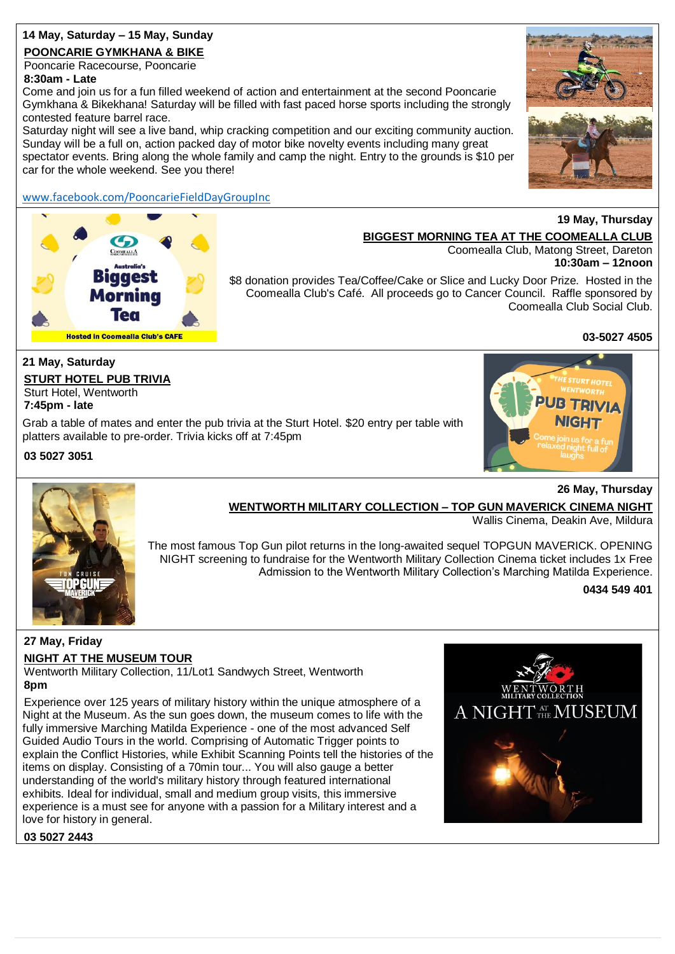# **14 May, Saturday – 15 May, Sunday**

# **POONCARIE GYMKHANA & BIKE**

Pooncarie Racecourse, Pooncarie **8:30am - Late**

Come and join us for a fun filled weekend of action and entertainment at the second Pooncarie Gymkhana & Bikekhana! Saturday will be filled with fast paced horse sports including the strongly contested feature barrel race.

Saturday night will see a live band, whip cracking competition and our exciting community auction. Sunday will be a full on, action packed day of motor bike novelty events including many great spectator events. Bring along the whole family and camp the night. Entry to the grounds is \$10 per car for the whole weekend. See you there!

# [www.facebook.com/PooncarieFieldDayGroupInc](http://www.facebook.com/PooncarieFieldDayGroupInc)

# **Hosted in Coomealla Club's CAFE**



# **19 May, Thursday BIGGEST MORNING TEA AT THE COOMEALLA CLUB**

Coomealla Club, Matong Street, Dareton **10:30am – 12noon**

\$8 donation provides Tea/Coffee/Cake or Slice and Lucky Door Prize. Hosted in the Coomealla Club's Café. All proceeds go to Cancer Council. Raffle sponsored by Coomealla Club Social Club.

**03-5027 4505**

# **21 May, Saturday**

**STURT HOTEL PUB TRIVIA** Sturt Hotel, Wentworth

**7:45pm - late**

Grab a table of mates and enter the pub trivia at the Sturt Hotel. \$20 entry per table with platters available to pre-order. Trivia kicks off at 7:45pm

**03 5027 3051**





# **WENTWORTH MILITARY COLLECTION – TOP GUN MAVERICK CINEMA NIGHT**

Wallis Cinema, Deakin Ave, Mildura

The most famous Top Gun pilot returns in the long-awaited sequel TOPGUN MAVERICK. OPENING NIGHT screening to fundraise for the Wentworth Military Collection Cinema ticket includes 1x Free Admission to the Wentworth Military Collection's Marching Matilda Experience.

**0434 549 401**

**26 May, Thursday**

# **27 May, Friday**

# **NIGHT AT THE MUSEUM TOUR**

Wentworth Military Collection, 11/Lot1 Sandwych Street, Wentworth **8pm**

Experience over 125 years of military history within the unique atmosphere of a Night at the Museum. As the sun goes down, the museum comes to life with the fully immersive Marching Matilda Experience - one of the most advanced Self Guided Audio Tours in the world. Comprising of Automatic Trigger points to explain the Conflict Histories, while Exhibit Scanning Points tell the histories of the items on display. Consisting of a 70min tour... You will also gauge a better understanding of the world's military history through featured international exhibits. Ideal for individual, small and medium group visits, this immersive experience is a must see for anyone with a passion for a Military interest and a love for history in general.



**03 5027 2443**